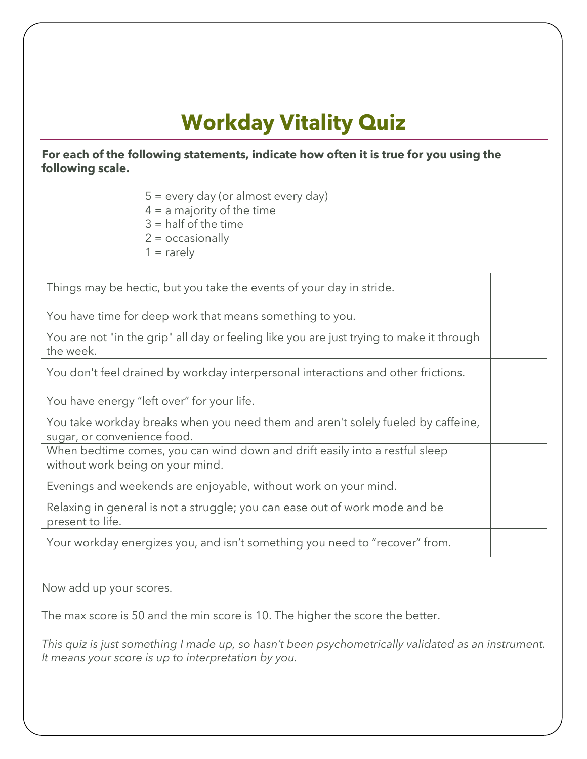## **Workday Vitality Quiz**

**For each of the following statements, indicate how often it is true for you using the following scale.** 

 $5 =$  every day (or almost every day)

 $4 = a$  majority of the time

 $3 =$  half of the time

 $2 = \alpha$ ccasionally

 $1 =$  rarely

Things may be hectic, but you take the events of your day in stride.

You have time for deep work that means something to you.

You are not "in the grip" all day or feeling like you are just trying to make it through the week.

You don't feel drained by workday interpersonal interactions and other frictions.

You have energy "left over" for your life.

You take workday breaks when you need them and aren't solely fueled by caffeine, sugar, or convenience food.

When bedtime comes, you can wind down and drift easily into a restful sleep without work being on your mind.

Evenings and weekends are enjoyable, without work on your mind.

Relaxing in general is not a struggle; you can ease out of work mode and be present to life.

Your workday energizes you, and isn't something you need to "recover" from.

Now add up your scores.

The max score is 50 and the min score is 10. The higher the score the better.

*This quiz is just something I made up, so hasn't been psychometrically validated as an instrument. It means your score is up to interpretation by you.*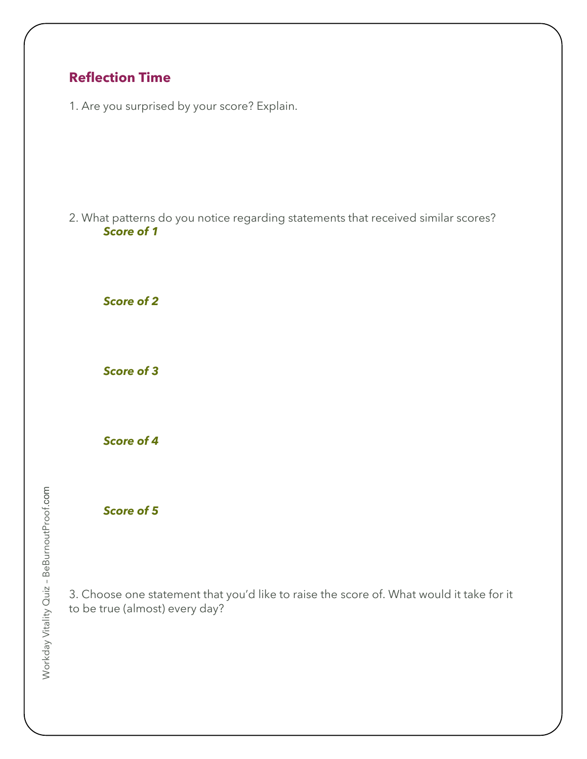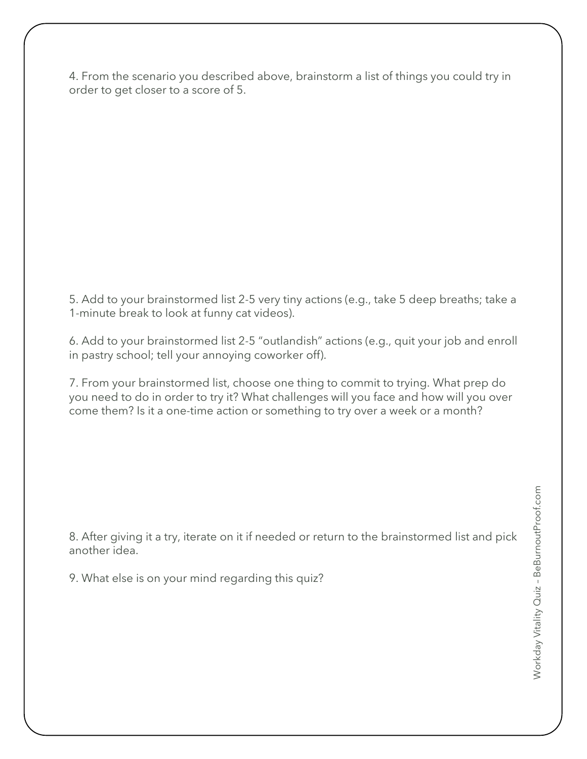4. From the scenario you described above, brainstorm a list of things you could try in order to get closer to a score of 5.

5. Add to your brainstormed list 2-5 very tiny actions (e.g., take 5 deep breaths; take a 1-minute break to look at funny cat videos).

6. Add to your brainstormed list 2-5 "outlandish" actions (e.g., quit your job and enroll in pastry school; tell your annoying coworker off).

7. From your brainstormed list, choose one thing to commit to trying. What prep do you need to do in order to try it? What challenges will you face and how will you over come them? Is it a one-time action or something to try over a week or a month?

8. After giving it a try, iterate on it if needed or return to the brainstormed list and pick another idea.

9. What else is on your mind regarding this quiz?